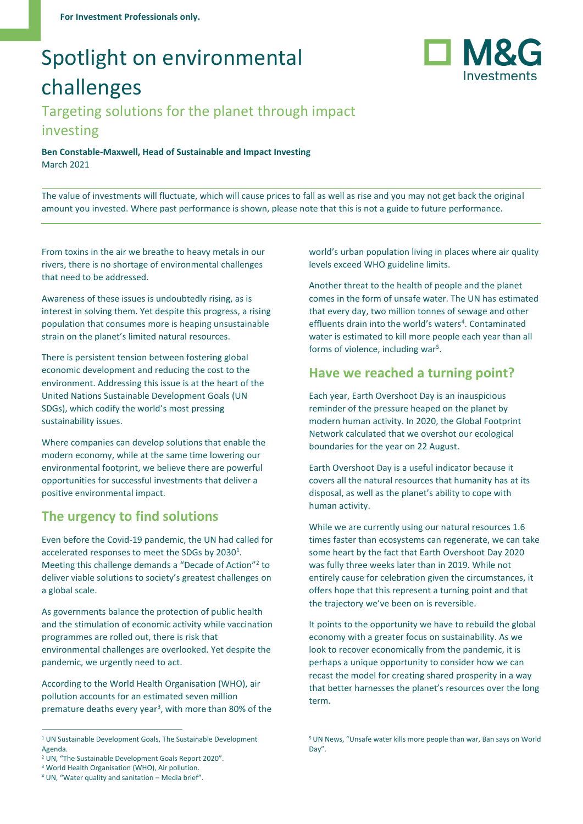# Spotlight on environmental challenges



## Targeting solutions for the planet through impact investing

**Ben Constable-Maxwell, Head of Sustainable and Impact Investing** March 2021

The value of investments will fluctuate, which will cause prices to fall as well as rise and you may not get back the original amount you invested. Where past performance is shown, please note that this is not a guide to future performance.

From toxins in the air we breathe to heavy metals in our rivers, there is no shortage of environmental challenges that need to be addressed.

Awareness of these issues is undoubtedly rising, as is interest in solving them. Yet despite this progress, a rising population that consumes more is heaping unsustainable strain on the planet's limited natural resources.

There is persistent tension between fostering global economic development and reducing the cost to the environment. Addressing this issue is at the heart of the United Nations Sustainable Development Goals (UN SDGs), which codify the world's most pressing sustainability issues.

Where companies can develop solutions that enable the modern economy, while at the same time lowering our environmental footprint, we believe there are powerful opportunities for successful investments that deliver a positive environmental impact.

## **The urgency to find solutions**

Even before the Covid-19 pandemic, the UN had called for accelerated responses to meet the SDGs by  $2030<sup>1</sup>$ . Meeting this challenge demands a "Decade of Action"<sup>2</sup> to deliver viable solutions to society's greatest challenges on a global scale.

As governments balance the protection of public health and the stimulation of economic activity while vaccination programmes are rolled out, there is risk that environmental challenges are overlooked. Yet despite the pandemic, we urgently need to act.

According to the World Health Organisation (WHO), air pollution accounts for an estimated seven million premature deaths every year<sup>3</sup>, with more than 80% of the world's urban population living in places where air quality levels exceed WHO guideline limits.

Another threat to the health of people and the planet comes in the form of unsafe water. The UN has estimated that every day, two million tonnes of sewage and other effluents drain into the world's waters<sup>4</sup>. Contaminated water is estimated to kill more people each year than all forms of violence, including war<sup>5</sup>.

#### **Have we reached a turning point?**

Each year, Earth Overshoot Day is an inauspicious reminder of the pressure heaped on the planet by modern human activity. In 2020, the Global Footprint Network calculated that we overshot our ecological boundaries for the year on 22 August.

Earth Overshoot Day is a useful indicator because it covers all the natural resources that humanity has at its disposal, as well as the planet's ability to cope with human activity.

While we are currently using our natural resources 1.6 times faster than ecosystems can regenerate, we can take some heart by the fact that Earth Overshoot Day 2020 was fully three weeks later than in 2019. While not entirely cause for celebration given the circumstances, it offers hope that this represent a turning point and that the trajectory we've been on is reversible.

It points to the opportunity we have to rebuild the global economy with a greater focus on sustainability. As we look to recover economically from the pandemic, it is perhaps a unique opportunity to consider how we can recast the model for creating shared prosperity in a way that better harnesses the planet's resources over the long term.

<sup>&</sup>lt;sup>1</sup> UN Sustainable Development Goals, The Sustainable Development [Agenda.](https://www.un.org/sustainabledevelopment/development-agenda/)

<sup>2</sup> UN, "[The Sustainable Development Goals Report 2020](https://unstats.un.org/sdgs/report/2020/)".

<sup>&</sup>lt;sup>3</sup> World Health Organisation (WHO)[, Air pollution.](https://www.who.int/health-topics/air-pollution#tab=tab_1)

<sup>4</sup> UN, "[Water quality and sanitation](https://www.un.org/waterforlifedecade/swm_cities_zaragoza_2010/pdf/01_water_quality_and_sanitation.pdf) – Media brief".

<sup>5</sup> UN News, "[Unsafe water kills more people than war, Ban says on World](https://news.un.org/en/story/2010/03/333182-unsafe-water-kills-more-people-war-ban-says-world-day)  [Day](https://news.un.org/en/story/2010/03/333182-unsafe-water-kills-more-people-war-ban-says-world-day)".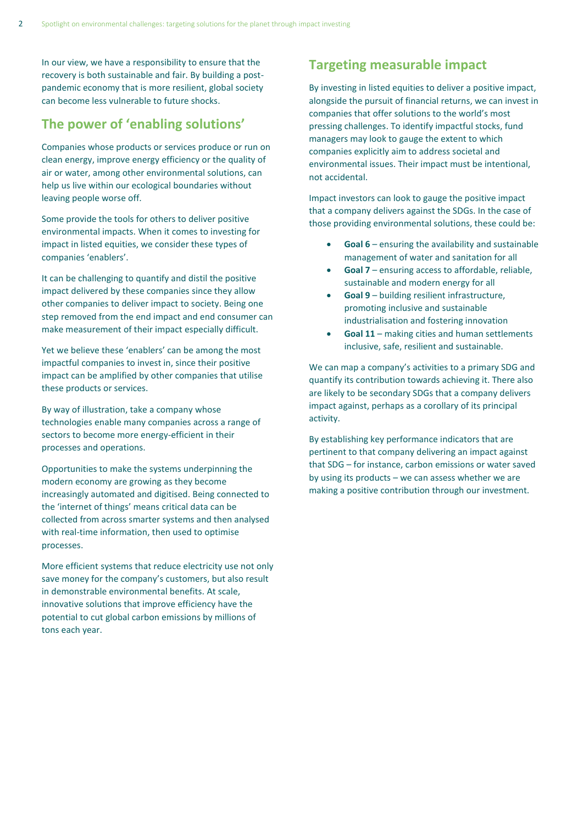In our view, we have a responsibility to ensure that the recovery is both sustainable and fair. By building a postpandemic economy that is more resilient, global society can become less vulnerable to future shocks.

### **The power of 'enabling solutions'**

Companies whose products or services produce or run on clean energy, improve energy efficiency or the quality of air or water, among other environmental solutions, can help us live within our ecological boundaries without leaving people worse off.

Some provide the tools for others to deliver positive environmental impacts. When it comes to investing for impact in listed equities, we consider these types of companies 'enablers'.

It can be challenging to quantify and distil the positive impact delivered by these companies since they allow other companies to deliver impact to society. Being one step removed from the end impact and end consumer can make measurement of their impact especially difficult.

Yet we believe these 'enablers' can be among the most impactful companies to invest in, since their positive impact can be amplified by other companies that utilise these products or services.

By way of illustration, take a company whose technologies enable many companies across a range of sectors to become more energy-efficient in their processes and operations.

Opportunities to make the systems underpinning the modern economy are growing as they become increasingly automated and digitised. Being connected to the 'internet of things' means critical data can be collected from across smarter systems and then analysed with real-time information, then used to optimise processes.

More efficient systems that reduce electricity use not only save money for the company's customers, but also result in demonstrable environmental benefits. At scale, innovative solutions that improve efficiency have the potential to cut global carbon emissions by millions of tons each year.

### **Targeting measurable impact**

By investing in listed equities to deliver a positive impact, alongside the pursuit of financial returns, we can invest in companies that offer solutions to the world's most pressing challenges. To identify impactful stocks, fund managers may look to gauge the extent to which companies explicitly aim to address societal and environmental issues. Their impact must be intentional, not accidental.

Impact investors can look to gauge the positive impact that a company delivers against the SDGs. In the case of those providing environmental solutions, these could be:

- **Goal 6** ensuring the availability and sustainable management of water and sanitation for all
- **Goal 7** ensuring access to affordable, reliable, sustainable and modern energy for all
- **Goal 9** building resilient infrastructure, promoting inclusive and sustainable industrialisation and fostering innovation
- Goal 11 making cities and human settlements inclusive, safe, resilient and sustainable.

We can map a company's activities to a primary SDG and quantify its contribution towards achieving it. There also are likely to be secondary SDGs that a company delivers impact against, perhaps as a corollary of its principal activity.

By establishing key performance indicators that are pertinent to that company delivering an impact against that SDG – for instance, carbon emissions or water saved by using its products – we can assess whether we are making a positive contribution through our investment.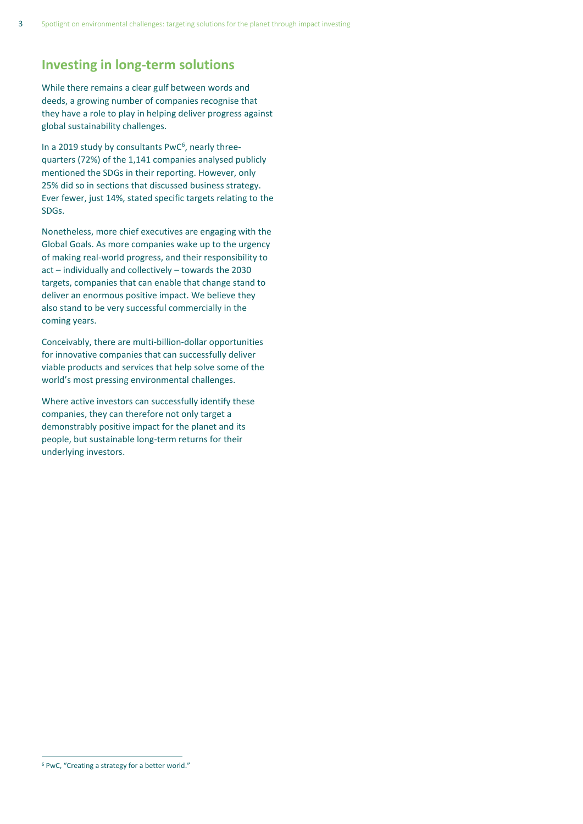#### **Investing in long-term solutions**

While there remains a clear gulf between words and deeds, a growing number of companies recognise that they have a role to play in helping deliver progress against global sustainability challenges.

In a 2019 study by consultants PwC<sup>6</sup>, nearly threequarters (72%) of the 1,141 companies analysed publicly mentioned the SDGs in their reporting. However, only 25% did so in sections that discussed business strategy. Ever fewer, just 14%, stated specific targets relating to the SDGs.

Nonetheless, more chief executives are engaging with the Global Goals. As more companies wake up to the urgency of making real-world progress, and their responsibility to act – individually and collectively – towards the 2030 targets, companies that can enable that change stand to deliver an enormous positive impact. We believe they also stand to be very successful commercially in the coming years.

Conceivably, there are multi-billion-dollar opportunities for innovative companies that can successfully deliver viable products and services that help solve some of the world's most pressing environmental challenges.

Where active investors can successfully identify these companies, they can therefore not only target a demonstrably positive impact for the planet and its people, but sustainable long-term returns for their underlying investors.

<sup>6</sup> PwC, "[Creating a strategy for a better world](https://www.pwc.com/gx/en/sustainability/SDG/sdg-2019.pdf)."